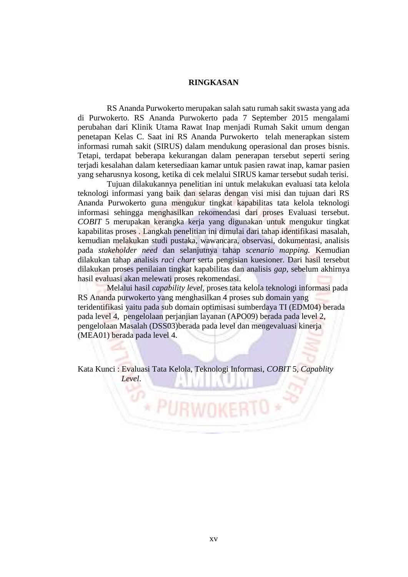## **RINGKASAN**

RS Ananda Purwokerto merupakan salah satu rumah sakit swasta yang ada di Purwokerto. RS Ananda Purwokerto pada 7 September 2015 mengalami perubahan dari Klinik Utama Rawat Inap menjadi Rumah Sakit umum dengan penetapan Kelas C. Saat ini RS Ananda Purwokerto telah menerapkan sistem informasi rumah sakit (SIRUS) dalam mendukung operasional dan proses bisnis. Tetapi, terdapat beberapa kekurangan dalam penerapan tersebut seperti sering terjadi kesalahan dalam ketersediaan kamar untuk pasien rawat inap, kamar pasien yang seharusnya kosong, ketika di cek melalui SIRUS kamar tersebut sudah terisi.

Tujuan dilakukannya penelitian ini untuk melakukan evaluasi tata kelola teknologi informasi yang baik dan selaras dengan visi misi dan tujuan dari RS Ananda Purwokerto guna mengukur tingkat kapabilitas tata kelola teknologi informasi sehingga menghasilkan rekomendasi dari proses Evaluasi tersebut. *COBIT* 5 merupakan kerangka kerja yang digunakan untuk mengukur tingkat kapabilitas proses . Langkah penelitian ini dimulai dari tahap identifikasi masalah, kemudian melakukan studi pustaka, wawancara, observasi, dokumentasi, analisis pada *stakeholder need* dan selanjutnya tahap *scenario mapping.* Kemudian dilakukan tahap analisis *raci chart* serta pengisian kuesioner. Dari hasil tersebut dilakukan proses penilaian tingkat kapabilitas dan analisis *gap*, sebelum akhirnya hasil evaluasi akan melewati proses rekomendasi.

Melalui hasil *capability level*, proses tata kelola teknologi informasi pada RS Ananda purwokerto yang menghasilkan 4 proses sub domain yang teridentifikasi yaitu pada sub domain optimisasi sumberdaya TI (EDM04) berada pada level 4, pengelolaan perjanjian layanan (APO09) berada pada level 2, pengelolaan Masalah (DSS03)berada pada level dan mengevaluasi kinerja (MEA01) berada pada level 4.

Kata Kunci : Evaluasi Tata Kelola, Teknologi Informasi, *COBIT* 5, *Capablity Level*.

**\* PURWOKE** 

7D